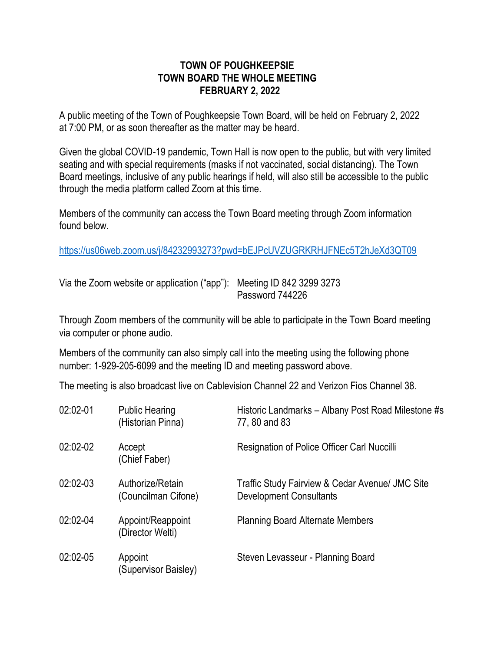## **TOWN OF POUGHKEEPSIE TOWN BOARD THE WHOLE MEETING FEBRUARY 2, 2022**

A public meeting of the Town of Poughkeepsie Town Board, will be held on February 2, 2022 at 7:00 PM, or as soon thereafter as the matter may be heard.

Given the global COVID-19 pandemic, Town Hall is now open to the public, but with very limited seating and with special requirements (masks if not vaccinated, social distancing). The Town Board meetings, inclusive of any public hearings if held, will also still be accessible to the public through the media platform called Zoom at this time.

Members of the community can access the Town Board meeting through Zoom information found below.

<https://us06web.zoom.us/j/84232993273?pwd=bEJPcUVZUGRKRHJFNEc5T2hJeXd3QT09>

Via the Zoom website or application ("app"): Meeting ID 842 3299 3273 Password 744226

Through Zoom members of the community will be able to participate in the Town Board meeting via computer or phone audio.

Members of the community can also simply call into the meeting using the following phone number: 1-929-205-6099 and the meeting ID and meeting password above.

The meeting is also broadcast live on Cablevision Channel 22 and Verizon Fios Channel 38.

| 02:02-01   | <b>Public Hearing</b><br>(Historian Pinna) | Historic Landmarks - Albany Post Road Milestone #s<br>77, 80 and 83               |
|------------|--------------------------------------------|-----------------------------------------------------------------------------------|
| 02:02-02   | Accept<br>(Chief Faber)                    | Resignation of Police Officer Carl Nuccilli                                       |
| $02:02-03$ | Authorize/Retain<br>(Councilman Cifone)    | Traffic Study Fairview & Cedar Avenue/ JMC Site<br><b>Development Consultants</b> |
| 02:02-04   | Appoint/Reappoint<br>(Director Welti)      | <b>Planning Board Alternate Members</b>                                           |
| 02:02-05   | Appoint<br>(Supervisor Baisley)            | Steven Levasseur - Planning Board                                                 |